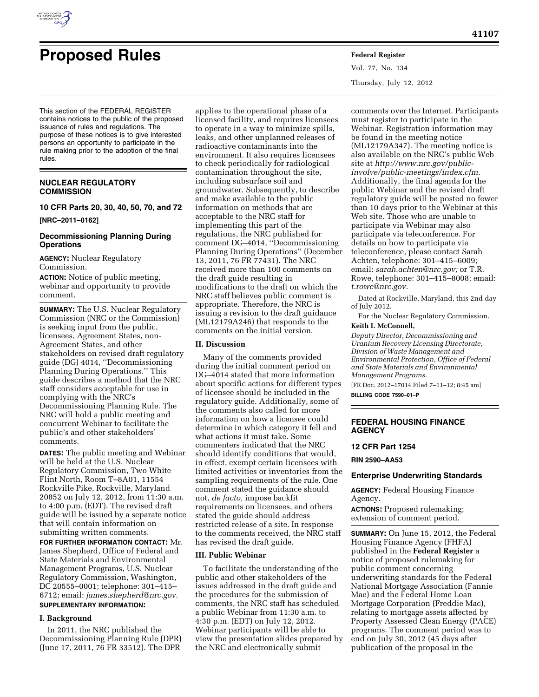

# **Proposed Rules Federal Register**

Vol. 77, No. 134 Thursday, July 12, 2012

This section of the FEDERAL REGISTER contains notices to the public of the proposed issuance of rules and regulations. The purpose of these notices is to give interested persons an opportunity to participate in the rule making prior to the adoption of the final rules.

#### **NUCLEAR REGULATORY COMMISSION**

**10 CFR Parts 20, 30, 40, 50, 70, and 72** 

**[NRC–2011–0162]** 

#### **Decommissioning Planning During Operations**

**AGENCY:** Nuclear Regulatory Commission.

**ACTION:** Notice of public meeting, webinar and opportunity to provide comment.

**SUMMARY:** The U.S. Nuclear Regulatory Commission (NRC or the Commission) is seeking input from the public, licensees, Agreement States, non-Agreement States, and other stakeholders on revised draft regulatory guide (DG) 4014, ''Decommissioning Planning During Operations.'' This guide describes a method that the NRC staff considers acceptable for use in complying with the NRC's Decommissioning Planning Rule. The NRC will hold a public meeting and concurrent Webinar to facilitate the public's and other stakeholders' comments.

**DATES:** The public meeting and Webinar will be held at the U.S. Nuclear Regulatory Commission, Two White Flint North, Room T–8A01, 11554 Rockville Pike, Rockville, Maryland 20852 on July 12, 2012, from 11:30 a.m. to 4:00 p.m. (EDT). The revised draft guide will be issued by a separate notice that will contain information on submitting written comments.

**FOR FURTHER INFORMATION CONTACT:** Mr. James Shepherd, Office of Federal and State Materials and Environmental Management Programs, U.S. Nuclear Regulatory Commission, Washington, DC 20555–0001; telephone: 301–415– 6712; email: *[james.shepherd@nrc.gov.](mailto:james.shepherd@nrc.gov)*  **SUPPLEMENTARY INFORMATION:** 

#### **I. Background**

In 2011, the NRC published the Decommissioning Planning Rule (DPR) (June 17, 2011, 76 FR 33512). The DPR

applies to the operational phase of a licensed facility, and requires licensees to operate in a way to minimize spills, leaks, and other unplanned releases of radioactive contaminants into the environment. It also requires licensees to check periodically for radiological contamination throughout the site, including subsurface soil and groundwater. Subsequently, to describe and make available to the public information on methods that are acceptable to the NRC staff for implementing this part of the regulations, the NRC published for comment DG–4014, ''Decommissioning Planning During Operations'' (December 13, 2011, 76 FR 77431). The NRC received more than 100 comments on the draft guide resulting in modifications to the draft on which the NRC staff believes public comment is appropriate. Therefore, the NRC is issuing a revision to the draft guidance (ML12179A246) that responds to the comments on the initial version.

#### **II. Discussion**

Many of the comments provided during the initial comment period on DG–4014 stated that more information about specific actions for different types of licensee should be included in the regulatory guide. Additionally, some of the comments also called for more information on how a licensee could determine in which category it fell and what actions it must take. Some commenters indicated that the NRC should identify conditions that would, in effect, exempt certain licensees with limited activities or inventories from the sampling requirements of the rule. One comment stated the guidance should not, *de facto,* impose backfit requirements on licensees, and others stated the guide should address restricted release of a site. In response to the comments received, the NRC staff has revised the draft guide.

#### **III. Public Webinar**

To facilitate the understanding of the public and other stakeholders of the issues addressed in the draft guide and the procedures for the submission of comments, the NRC staff has scheduled a public Webinar from 11:30 a.m. to 4:30 p.m. (EDT) on July 12, 2012. Webinar participants will be able to view the presentation slides prepared by the NRC and electronically submit

comments over the Internet. Participants must register to participate in the Webinar. Registration information may be found in the meeting notice (ML12179A347). The meeting notice is also available on the NRC's public Web site at *[http://www.nrc.gov/public](http://www.nrc.gov/public-involve/public-meetings/index.cfm)[involve/public-meetings/index.cfm.](http://www.nrc.gov/public-involve/public-meetings/index.cfm)*  Additionally, the final agenda for the public Webinar and the revised draft regulatory guide will be posted no fewer than 10 days prior to the Webinar at this Web site. Those who are unable to participate via Webinar may also participate via teleconference. For details on how to participate via teleconference, please contact Sarah Achten, telephone: 301–415–6009; email: *[sarah.achten@nrc.gov;](mailto:sarah.achten@nrc.gov)* or T.R. Rowe, telephone: 301–415–8008; email: *[t.rowe@nrc.gov.](mailto:t.rowe@nrc.gov)* 

Dated at Rockville, Maryland, this 2nd day of July 2012.

For the Nuclear Regulatory Commission.

## **Keith I. McConnell,**

*Deputy Director, Decommissioning and Uranium Recovery Licensing Directorate, Division of Waste Management and Environmental Protection, Office of Federal and State Materials and Environmental Management Programs.* 

[FR Doc. 2012–17014 Filed 7–11–12; 8:45 am] **BILLING CODE 7590–01–P** 

#### **FEDERAL HOUSING FINANCE AGENCY**

#### **12 CFR Part 1254**

**RIN 2590–AA53** 

#### **Enterprise Underwriting Standards**

**AGENCY:** Federal Housing Finance Agency.

**ACTIONS:** Proposed rulemaking; extension of comment period.

**SUMMARY:** On June 15, 2012, the Federal Housing Finance Agency (FHFA) published in the **Federal Register** a notice of proposed rulemaking for public comment concerning underwriting standards for the Federal National Mortgage Association (Fannie Mae) and the Federal Home Loan Mortgage Corporation (Freddie Mac), relating to mortgage assets affected by Property Assessed Clean Energy (PACE) programs. The comment period was to end on July 30, 2012 (45 days after publication of the proposal in the